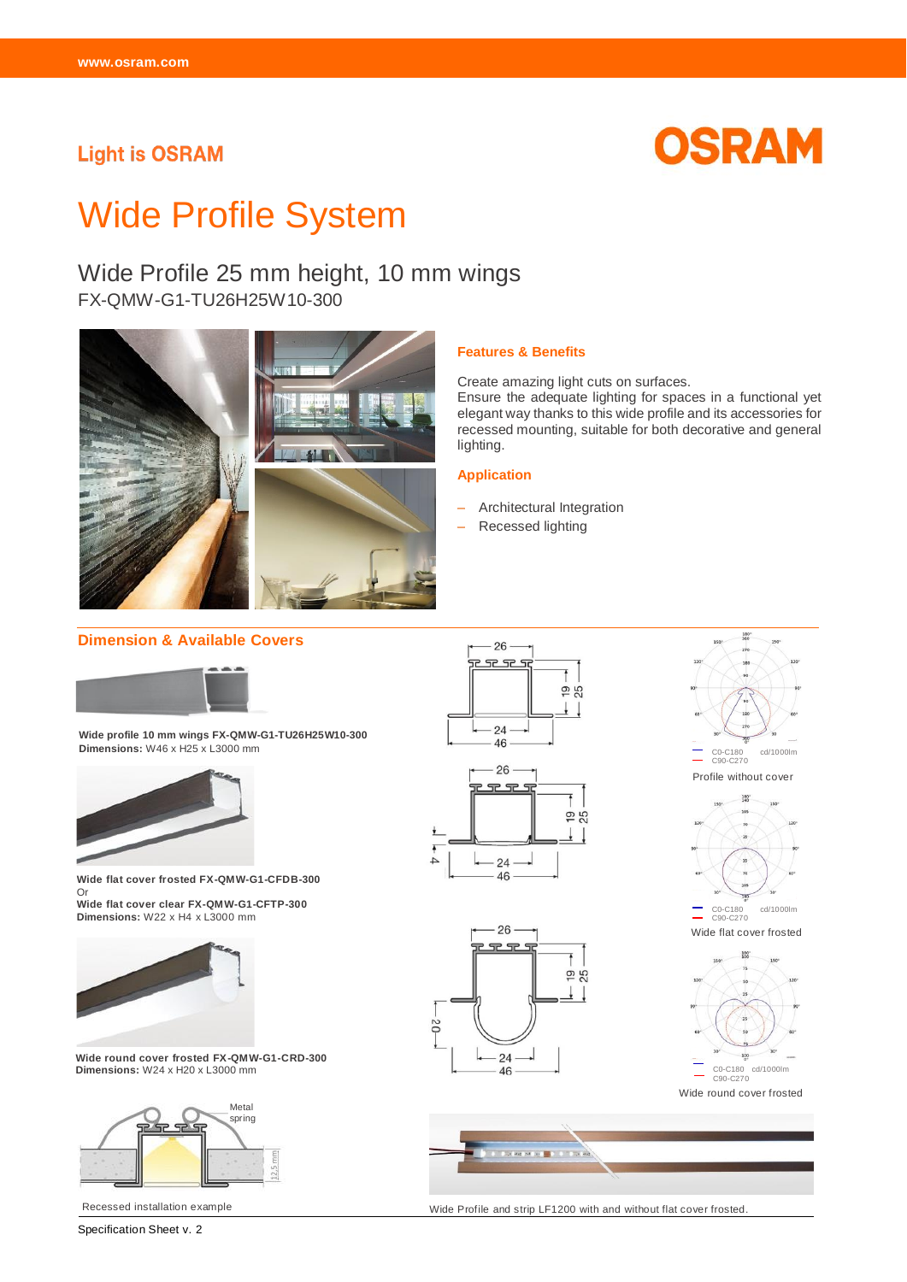### **Light is OSRAM**



# Wide Profile System

## Wide Profile 25 mm height, 10 mm wings

FX-QMW-G1-TU26H25W10-300



#### **Features & Benefits**

Create amazing light cuts on surfaces.

Ensure the adequate lighting for spaces in a functional yet elegant way thanks to this wide profile and its accessories for recessed mounting, suitable for both decorative and general lighting.

#### **Application**

- Architectural Integration
- Recessed lighting

#### **Dimension & Available Covers**



**Wide profile 10 mm wings FX-QMW-G1-TU26H25W10-300 Dimensions:** W46 x H25 x L3000 mm



**Wide flat cover frosted FX-QMW-G1-CFDB-300**  Or **Wide flat cover clear FX-QMW-G1-CFTP-300 Dimensions:** W22 x H4 x L3000 mm



**Wide round cover frosted FX-QMW-G1-CRD-300 Dimensions:** W24 x H20 x L3000 mm



Recessed installation example





180



Wide round cover frosted



Wide Profile and strip LF1200 with and without flat cover frosted.

Specification Sheet v. 2



26 <u>aas</u>



24  $46$ 

50

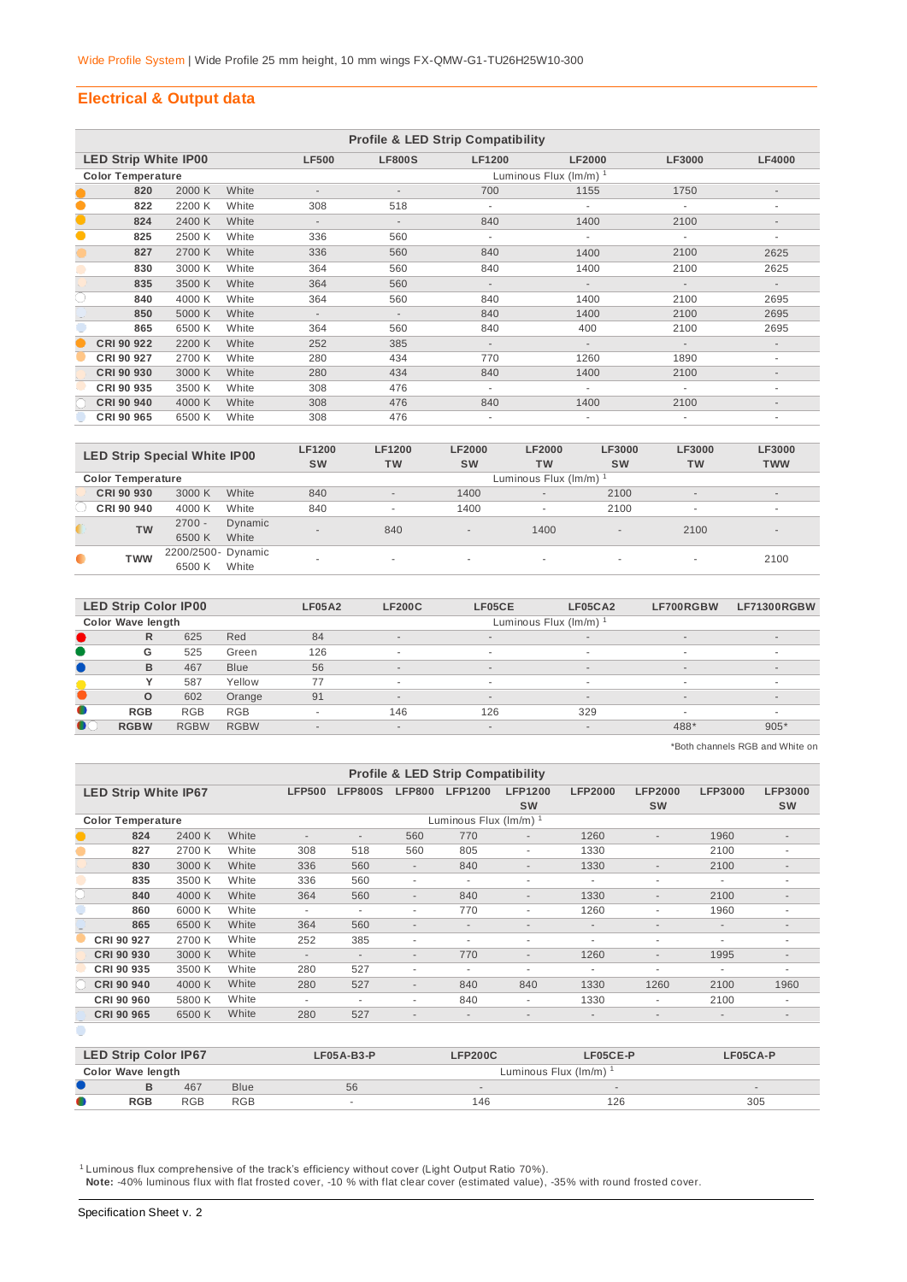#### **Electrical & Output data**

|           | <b>Profile &amp; LED Strip Compatibility</b> |        |       |                          |                          |               |               |                          |                          |  |  |  |  |
|-----------|----------------------------------------------|--------|-------|--------------------------|--------------------------|---------------|---------------|--------------------------|--------------------------|--|--|--|--|
|           | <b>LED Strip White IP00</b>                  |        |       | <b>LF500</b>             | <b>LF800S</b>            | <b>LF1200</b> | <b>LF2000</b> | <b>LF3000</b>            | <b>LF4000</b>            |  |  |  |  |
|           | <b>Color Temperature</b>                     |        |       |                          | Luminous Flux (Im/m) 1   |               |               |                          |                          |  |  |  |  |
|           | 820                                          | 2000 K | White |                          |                          | 700           | 1155          | 1750                     |                          |  |  |  |  |
| $\bullet$ | 822                                          | 2200 K | White | 308                      | 518                      |               |               |                          | ٠                        |  |  |  |  |
| $\bullet$ | 824                                          | 2400 K | White | $\overline{\phantom{a}}$ | $\overline{\phantom{a}}$ | 840           | 1400          | 2100                     | $\overline{\phantom{a}}$ |  |  |  |  |
| $\bullet$ | 825                                          | 2500 K | White | 336                      | 560                      | ٠             | ÷.            | ٠                        | ٠                        |  |  |  |  |
|           | 827                                          | 2700 K | White | 336                      | 560                      | 840           | 1400          | 2100                     | 2625                     |  |  |  |  |
|           | 830                                          | 3000 K | White | 364                      | 560                      | 840           | 1400          | 2100                     | 2625                     |  |  |  |  |
|           | 835                                          | 3500 K | White | 364                      | 560                      | $\sim$        | $\sim$        | $\overline{\phantom{a}}$ | $\sim$                   |  |  |  |  |
| C         | 840                                          | 4000 K | White | 364                      | 560                      | 840           | 1400          | 2100                     | 2695                     |  |  |  |  |
|           | 850                                          | 5000 K | White | $\overline{\phantom{a}}$ | $\overline{\phantom{a}}$ | 840           | 1400          | 2100                     | 2695                     |  |  |  |  |
|           | 865                                          | 6500 K | White | 364                      | 560                      | 840           | 400           | 2100                     | 2695                     |  |  |  |  |
|           | CRI 90 922                                   | 2200 K | White | 252                      | 385                      | $\sim$        | $\sim$        | $\overline{\phantom{a}}$ | $\overline{\phantom{a}}$ |  |  |  |  |
|           | CRI 90 927                                   | 2700 K | White | 280                      | 434                      | 770           | 1260          | 1890                     | ٠                        |  |  |  |  |
|           | CRI 90 930                                   | 3000 K | White | 280                      | 434                      | 840           | 1400          | 2100                     | $\overline{\phantom{a}}$ |  |  |  |  |
|           | CRI 90 935                                   | 3500 K | White | 308                      | 476                      | ٠             | ٠             |                          | ٠                        |  |  |  |  |
|           | CRI 90 940                                   | 4000 K | White | 308                      | 476                      | 840           | 1400          | 2100                     | $\overline{\phantom{a}}$ |  |  |  |  |
|           | CRI 90 965                                   | 6500 K | White | 308                      | 476                      |               |               |                          |                          |  |  |  |  |

| <b>LED Strip Special White IP00</b> |                          |                    |         | <b>LF1200</b><br><b>SW</b> | <b>LF1200</b><br><b>TW</b> | <b>LF2000</b><br><b>SW</b> | <b>LF2000</b><br><b>TW</b> | <b>LF3000</b><br><b>SW</b> | LF3000<br><b>TW</b>      | <b>LF3000</b><br><b>TWW</b> |  |  |  |
|-------------------------------------|--------------------------|--------------------|---------|----------------------------|----------------------------|----------------------------|----------------------------|----------------------------|--------------------------|-----------------------------|--|--|--|
|                                     | <b>Color Temperature</b> |                    |         |                            | Luminous Flux (Im/m) 1     |                            |                            |                            |                          |                             |  |  |  |
|                                     | CRI 90 930               | 3000 K             | White   | 840                        | $\overline{\phantom{a}}$   | 1400                       | $\overline{\phantom{a}}$   | 2100                       | $\overline{\phantom{a}}$ | $\sim$                      |  |  |  |
|                                     | CRI 90 940               | 4000 K             | White   | 840                        | ۰                          | 1400                       | $\overline{\phantom{a}}$   | 2100                       | $\overline{a}$           | $\overline{\phantom{a}}$    |  |  |  |
|                                     | <b>TW</b>                | $2700 -$           | Dynamic | $\overline{\phantom{a}}$   | 840                        |                            | 1400                       | $\overline{\phantom{a}}$   | 2100                     | $\overline{\phantom{a}}$    |  |  |  |
|                                     |                          | 6500 K             | White   |                            |                            | $\overline{\phantom{a}}$   |                            |                            |                          |                             |  |  |  |
| $\bullet$                           | <b>TWW</b>               | 2200/2500- Dynamic |         | ۰                          |                            |                            |                            |                            |                          | 2100                        |  |  |  |
|                                     |                          | 6500 K             | White   |                            |                            | ۰                          | $\overline{\phantom{a}}$   | . .                        | $\sim$                   |                             |  |  |  |

|           | <b>LED Strip Color IP00</b> |             |             | <b>LF05A2</b>            | <b>LF200C</b>            | LF05CE | LF05CA2                  | LF700RGBW | <b>LF71300RGBW</b>       |
|-----------|-----------------------------|-------------|-------------|--------------------------|--------------------------|--------|--------------------------|-----------|--------------------------|
|           | Color Wave length           |             |             |                          |                          |        | Luminous Flux (Im/m)     |           |                          |
|           | R                           | 625         | Red         | 84                       | $\sim$                   | $\sim$ | $\overline{\phantom{a}}$ | $\sim$    | $\sim$                   |
|           | G                           | 525         | Green       | 126                      | $\overline{\phantom{a}}$ |        | $\sim$                   |           | ۰                        |
|           | B                           | 467         | <b>Blue</b> | 56                       | $\overline{\phantom{a}}$ | $\sim$ | $\sim$                   | $\sim$    | $\overline{\phantom{a}}$ |
|           |                             | 587         | Yellow      | 77                       | ٠                        |        | $\sim$                   |           |                          |
|           | $\circ$                     | 602         | Orange      | 91                       | $\overline{\phantom{a}}$ | $\sim$ | $\overline{\phantom{a}}$ | $\sim$    | $\overline{\phantom{a}}$ |
| $\bullet$ | <b>RGB</b>                  | <b>RGB</b>  | <b>RGB</b>  | $\overline{\phantom{a}}$ | 146                      | 126    | 329                      |           |                          |
| $\bullet$ | <b>RGBW</b>                 | <b>RGBW</b> | <b>RGBW</b> | $\overline{\phantom{a}}$ | $\overline{\phantom{a}}$ | $\sim$ | $\overline{\phantom{a}}$ | 488*      | $905*$                   |

\*Both channels RGB and White on

|                          | <b>Profile &amp; LED Strip Compatibility</b> |        |       |                          |                          |                          |                          |                          |                          |                          |                              |                          |  |
|--------------------------|----------------------------------------------|--------|-------|--------------------------|--------------------------|--------------------------|--------------------------|--------------------------|--------------------------|--------------------------|------------------------------|--------------------------|--|
|                          | <b>LED Strip White IP67</b>                  |        |       | <b>LFP500</b>            | <b>LFP800S</b>           | <b>LFP800</b>            | <b>LFP1200</b>           | <b>LFP1200</b>           | <b>LFP2000</b>           | <b>LFP2000</b>           | <b>LFP3000</b>               | <b>LFP3000</b>           |  |
|                          |                                              |        |       |                          |                          |                          |                          | <b>SW</b>                |                          | <b>SW</b>                |                              | <b>SW</b>                |  |
| <b>Color Temperature</b> |                                              |        |       |                          |                          |                          | Luminous Flux (lm/m) 1   |                          |                          |                          |                              |                          |  |
|                          | 824                                          | 2400 K | White | ٠                        | $\overline{\phantom{a}}$ | 560                      | 770                      | $\overline{\phantom{a}}$ | 1260                     | $\sim$                   | 1960                         | ٠                        |  |
| $\bullet$                | 827                                          | 2700 K | White | 308                      | 518                      | 560                      | 805                      | ٠                        | 1330                     |                          | 2100                         | ٠                        |  |
|                          | 830                                          | 3000 K | White | 336                      | 560                      | $\overline{\phantom{a}}$ | 840                      | $\overline{\phantom{a}}$ | 1330                     | $\overline{\phantom{a}}$ | 2100                         | $\overline{\phantom{a}}$ |  |
|                          | 835                                          | 3500 K | White | 336                      | 560                      | ٠                        | ٠                        | ٠                        | ٠                        | ٠                        | ٠                            | ٠                        |  |
|                          | 840                                          | 4000 K | White | 364                      | 560                      | $\overline{\phantom{a}}$ | 840                      | $\overline{\phantom{a}}$ | 1330                     | $\overline{\phantom{a}}$ | 2100                         | $\sim$                   |  |
|                          | 860                                          | 6000 K | White | $\overline{\phantom{a}}$ | $\overline{a}$           | ٠                        | 770                      | ٠                        | 1260                     | ٠                        | 1960                         | ۰                        |  |
|                          | 865                                          | 6500 K | White | 364                      | 560                      | $\overline{\phantom{a}}$ | $\overline{\phantom{a}}$ | $\overline{\phantom{a}}$ | $\overline{\phantom{a}}$ | $\sim$                   | $\overline{\phantom{a}}$     | $\sim$                   |  |
|                          | CRI 90 927                                   | 2700 K | White | 252                      | 385                      | ٠                        | $\overline{\phantom{a}}$ | ٠                        | ٠                        | ٠                        | ٠                            | ٠                        |  |
|                          | CRI 90 930                                   | 3000 K | White | $\overline{\phantom{a}}$ | $\overline{\phantom{a}}$ | $\overline{\phantom{a}}$ | 770                      | $\overline{\phantom{a}}$ | 1260                     | $\overline{\phantom{a}}$ | 1995                         | $\overline{\phantom{a}}$ |  |
|                          | CRI 90 935                                   | 3500 K | White | 280                      | 527                      | $\sim$                   | ٠                        | ٠                        | ۰.                       | ٠                        | ٠                            | ۰                        |  |
|                          | CRI 90 940                                   | 4000 K | White | 280                      | 527                      | $\sim$                   | 840                      | 840                      | 1330                     | 1260                     | 2100                         | 1960                     |  |
|                          | CRI 90 960                                   | 5800 K | White | $\overline{\phantom{a}}$ | $\overline{\phantom{a}}$ | ٠                        | 840                      | ٠                        | 1330                     | ٠                        | 2100                         | ۰                        |  |
|                          | CRI 90 965                                   | 6500 K | White | 280                      | 527                      | $\overline{\phantom{a}}$ | $\overline{\phantom{a}}$ | $\overline{\phantom{a}}$ | $\overline{\phantom{a}}$ | $\overline{\phantom{a}}$ | $\qquad \qquad \blacksquare$ | $\overline{\phantom{a}}$ |  |
|                          |                                              |        |       |                          |                          |                          |                          |                          |                          |                          |                              |                          |  |

|           | <b>LED Strip Color IP67</b> |            |             | $LFO5A-B3-P$ | <b>LFP200C</b>                    | <b>LF05CE-P</b> | LF05CA-P |  |  |  |  |
|-----------|-----------------------------|------------|-------------|--------------|-----------------------------------|-----------------|----------|--|--|--|--|
|           | Color Wave length           |            |             |              | Luminous Flux (lm/m) <sup>1</sup> |                 |          |  |  |  |  |
|           |                             | 467        | <b>Blue</b> | 56           |                                   |                 | $\sim$   |  |  |  |  |
| $\bullet$ | <b>RGB</b>                  | <b>RGB</b> | <b>RGB</b>  | $\sim$       | 146                               | 126             | 305      |  |  |  |  |
|           |                             |            |             |              |                                   |                 |          |  |  |  |  |

 $^1$  Luminous flux comprehensive of the track's efficiency without cover (Light Output Ratio 70%).  **Note:** -40% luminous flux with flat frosted cover, -10 % with flat clear cover (estimated value), -35% with round frosted cover.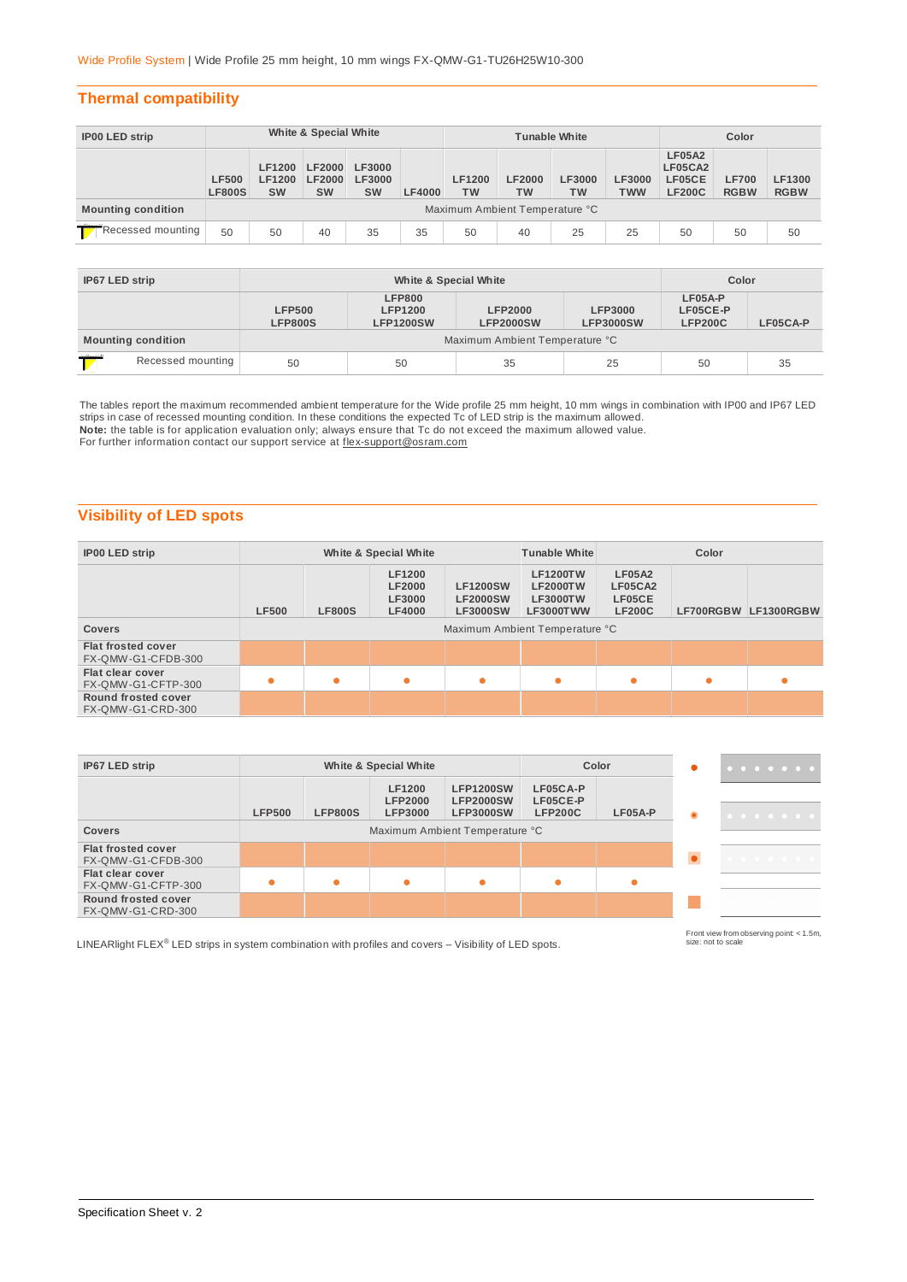#### **Thermal compatibility**

| <b>IP00 LED strip</b>                           | White & Special White         |                                             |                                             |                                      | <b>Tunable White</b> |                            |                                |              | Color                       |                                                     |                             |                       |
|-------------------------------------------------|-------------------------------|---------------------------------------------|---------------------------------------------|--------------------------------------|----------------------|----------------------------|--------------------------------|--------------|-----------------------------|-----------------------------------------------------|-----------------------------|-----------------------|
|                                                 | <b>LF500</b><br><b>LF800S</b> | <b>LF1200</b><br><b>LF1200</b><br><b>SW</b> | <b>LF2000</b><br><b>LF2000</b><br><b>SW</b> | LF3000<br><b>LF3000</b><br><b>SW</b> | <b>LF4000</b>        | <b>LF1200</b><br><b>TW</b> | <b>LF2000</b><br><b>TW</b>     | LF3000<br>TW | <b>LF3000</b><br><b>TWW</b> | <b>LF05A2</b><br>LF05CA2<br>LF05CE<br><b>LF200C</b> | <b>LF700</b><br><b>RGBW</b> | LF1300<br><b>RGBW</b> |
| <b>Mounting condition</b>                       |                               |                                             |                                             |                                      |                      |                            | Maximum Ambient Temperature °C |              |                             |                                                     |                             |                       |
| Recessed mounting<br>50<br>35<br>35<br>50<br>40 |                               |                                             |                                             | 50                                   | 40                   | 25                         | 25                             | 50           | 50                          | 50                                                  |                             |                       |

| IP67 LED strip            |  |                                 | Color                                               |                                    |                                    |                                         |          |
|---------------------------|--|---------------------------------|-----------------------------------------------------|------------------------------------|------------------------------------|-----------------------------------------|----------|
|                           |  | <b>LFP500</b><br><b>LFP800S</b> | <b>LFP800</b><br><b>LFP1200</b><br><b>LFP1200SW</b> | <b>LFP2000</b><br><b>LFP2000SW</b> | <b>LFP3000</b><br><b>LFP3000SW</b> | $LFO5A-P$<br>LF05CE-P<br><b>LFP200C</b> | LF05CA-P |
| <b>Mounting condition</b> |  |                                 |                                                     | Maximum Ambient Temperature °C     |                                    |                                         |          |
| ٣Ť<br>Recessed mounting   |  | 50                              | 50                                                  | 35                                 | 25                                 | 50                                      | 35       |

The tables report the maximum recommended ambient temperature for the Wide profile 25 mm height, 10 mm wings in combination with IP00 and IP67 LED strips in case of recessed mounting condition. In these conditions the expected Tc of LED strip is the maximum allowed.

**Note:** the table is for application evaluation only; always ensure that Tc do not exceed the maximum allowed value.<br>For further information contact our support service at <u>flex-support@osram.com</u>

### **Visibility of LED spots**

| <b>IP00 LED strip</b>                                                      |                                                                                                                                                                                                                                  |  | White & Special White |   | Color<br><b>Tunable White</b> |                                                     |  |                      |
|----------------------------------------------------------------------------|----------------------------------------------------------------------------------------------------------------------------------------------------------------------------------------------------------------------------------|--|-----------------------|---|-------------------------------|-----------------------------------------------------|--|----------------------|
|                                                                            | <b>LF1200</b><br><b>LF1200TW</b><br><b>LF2000</b><br><b>LF1200SW</b><br><b>LF2000TW</b><br>LF3000<br><b>LF2000SW</b><br><b>LF3000TW</b><br><b>LF500</b><br><b>LF800S</b><br><b>LF4000</b><br><b>LF3000SW</b><br><b>LF3000TWW</b> |  |                       |   |                               | <b>LF05A2</b><br>LF05CA2<br>LF05CE<br><b>LF200C</b> |  | LF700RGBW LF1300RGBW |
| <b>Covers</b>                                                              | Maximum Ambient Temperature °C                                                                                                                                                                                                   |  |                       |   |                               |                                                     |  |                      |
| <b>Flat frosted cover</b><br>FX-QMW-G1-CFDB-300                            |                                                                                                                                                                                                                                  |  |                       |   |                               |                                                     |  |                      |
| Flat clear cover<br>$\bullet$<br>٠<br>$\bullet$<br>٠<br>FX-QMW-G1-CFTP-300 |                                                                                                                                                                                                                                  |  |                       | ● | ٠                             |                                                     |  |                      |
| Round frosted cover<br><b>FX-QMW-G1-CRD-300</b>                            |                                                                                                                                                                                                                                  |  |                       |   |                               |                                                     |  |                      |

| IP67 LED strip                                  | White & Special White |                |                                            |                                                          |                                        | Color     |   | . |
|-------------------------------------------------|-----------------------|----------------|--------------------------------------------|----------------------------------------------------------|----------------------------------------|-----------|---|---|
|                                                 | <b>LFP500</b>         | <b>LFP800S</b> | LF1200<br><b>LFP2000</b><br><b>LFP3000</b> | <b>LFP1200SW</b><br><b>LFP2000SW</b><br><b>LFP3000SW</b> | LF05CA-P<br>LF05CE-P<br><b>LFP200C</b> | $LFO5A-P$ | ۰ | . |
| <b>Covers</b>                                   |                       |                |                                            | Maximum Ambient Temperature °C                           |                                        |           |   |   |
| <b>Flat frosted cover</b><br>FX-QMW-G1-CFDB-300 |                       |                |                                            |                                                          |                                        |           |   | . |
| Flat clear cover<br>FX-QMW-G1-CFTP-300          |                       |                | ۸                                          | $\bullet$                                                | $\bullet$                              |           |   |   |
| Round frosted cover<br>FX-QMW-G1-CRD-300        |                       |                |                                            |                                                          |                                        |           |   |   |

LINEARlight FLEX<sup>®</sup> LED strips in system combination with profiles and covers – Visibility of LED spots.

Front view from observing point: < 1.5m, size: not to scale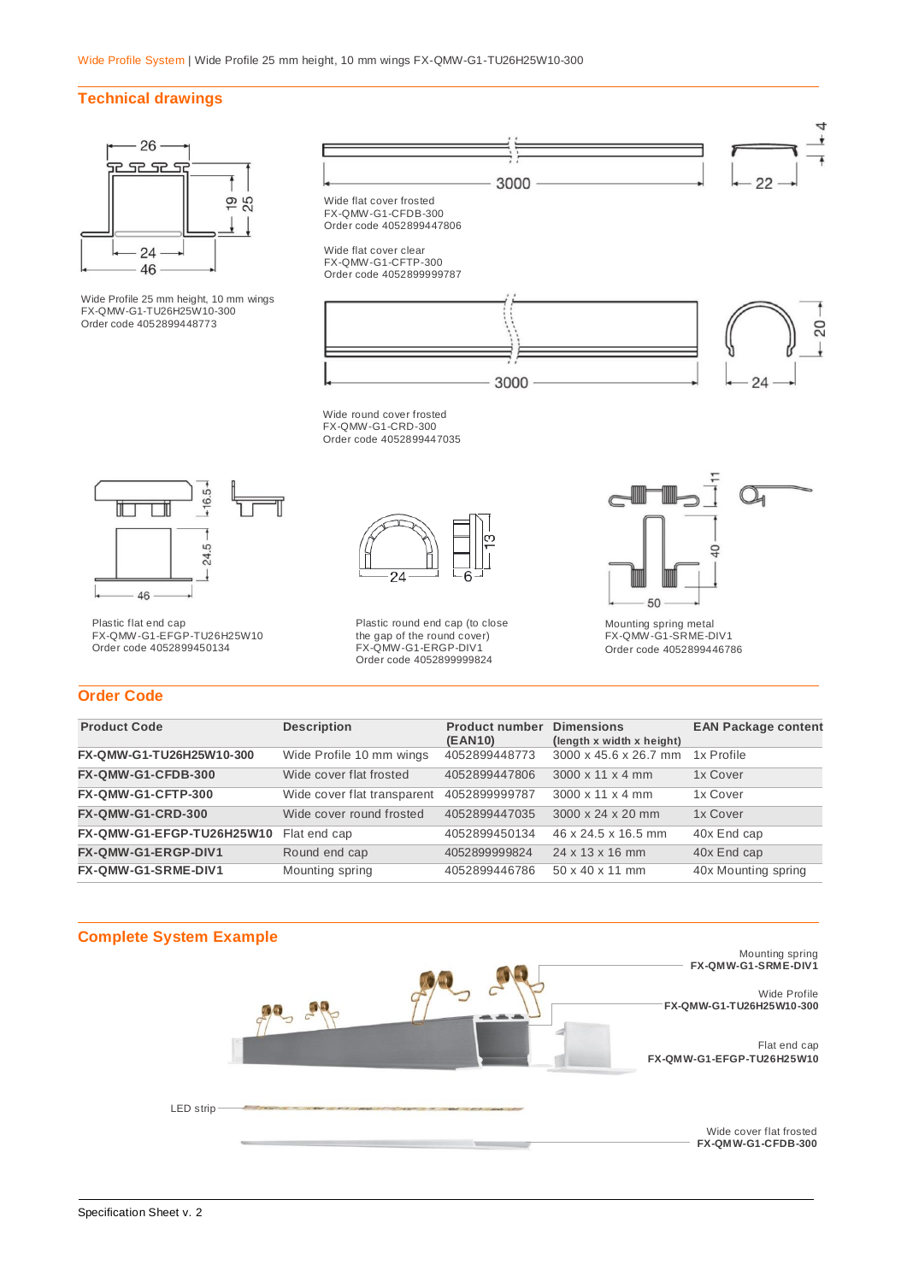#### **Technical drawings**



Wide Profile 25 mm height, 10 mm wings FX-QMW-G1-TU26H25W10-300 Order code 4052899448773



 $-16.5+$  $\blacksquare$ ┲  $24.5 -$ ↓ 46

Plastic flat end cap FX-QMW-G1-EFGP-TU26H25W10 Order code 4052899450134



Plastic round end cap (to close the gap of the round cover) FX-QMW-G1-ERGP-DIV1 Order code 4052899999824



Mounting spring metal FX-QMW-G1-SRME-DIV1 Order code 4052899446786

#### **Order Code**

| <b>Product Code</b>       | <b>Description</b>          | <b>Product number</b><br>(EAN10) | <b>Dimensions</b><br>(length x width x height) | <b>EAN Package content</b> |
|---------------------------|-----------------------------|----------------------------------|------------------------------------------------|----------------------------|
| FX-QMW-G1-TU26H25W10-300  | Wide Profile 10 mm wings    | 4052899448773                    | 3000 x 45.6 x 26.7 mm                          | 1x Profile                 |
| FX-QMW-G1-CFDB-300        | Wide cover flat frosted     | 4052899447806                    | $3000 \times 11 \times 4$ mm                   | 1x Cover                   |
| FX-QMW-G1-CFTP-300        | Wide cover flat transparent | 4052899999787                    | $3000 \times 11 \times 4$ mm                   | 1x Cover                   |
| <b>FX-QMW-G1-CRD-300</b>  | Wide cover round frosted    | 4052899447035                    | 3000 x 24 x 20 mm                              | 1x Cover                   |
| FX-QMW-G1-EFGP-TU26H25W10 | Flat end cap                | 4052899450134                    | 46 x 24.5 x 16.5 mm                            | 40x End cap                |
| FX-QMW-G1-ERGP-DIV1       | Round end cap               | 4052899999824                    | $24 \times 13 \times 16$ mm                    | 40x End cap                |
| FX-QMW-G1-SRME-DIV1       | Mounting spring             | 4052899446786                    | $50 \times 40 \times 11$ mm                    | 40x Mounting spring        |
|                           |                             |                                  |                                                |                            |